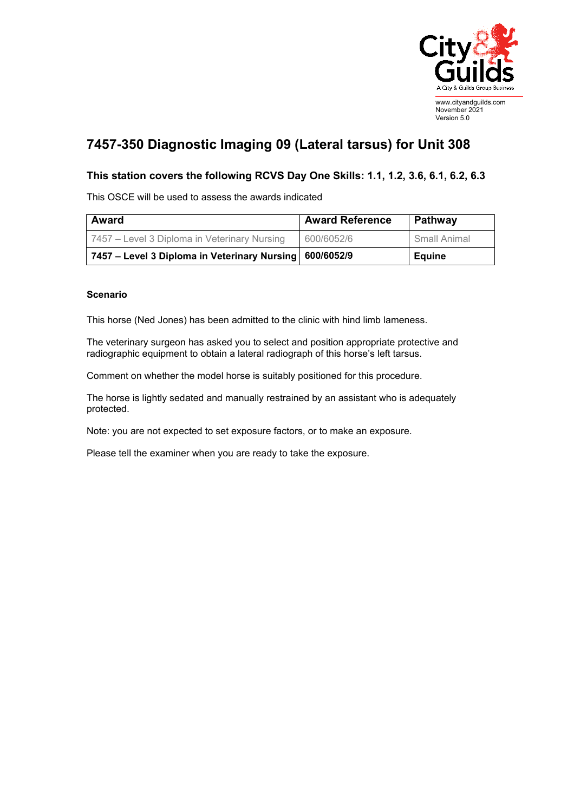

## **7457-350 Diagnostic Imaging 09 (Lateral tarsus) for Unit 308**

## **This station covers the following RCVS Day One Skills: 1.1, 1.2, 3.6, 6.1, 6.2, 6.3**

This OSCE will be used to assess the awards indicated

| <b>Award</b>                                              | <b>Award Reference</b> | Pathway       |
|-----------------------------------------------------------|------------------------|---------------|
| 7457 – Level 3 Diploma in Veterinary Nursing              | 600/6052/6             | Small Animal  |
| 7457 – Level 3 Diploma in Veterinary Nursing   600/6052/9 |                        | <b>Equine</b> |

## **Scenario**

This horse (Ned Jones) has been admitted to the clinic with hind limb lameness.

The veterinary surgeon has asked you to select and position appropriate protective and radiographic equipment to obtain a lateral radiograph of this horse's left tarsus.

Comment on whether the model horse is suitably positioned for this procedure.

The horse is lightly sedated and manually restrained by an assistant who is adequately protected.

Note: you are not expected to set exposure factors, or to make an exposure.

Please tell the examiner when you are ready to take the exposure.